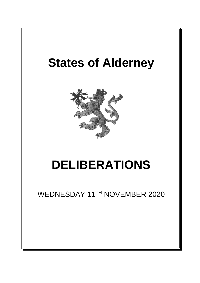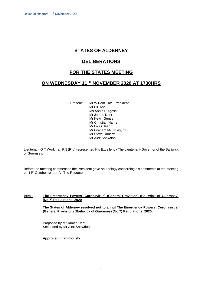# **STATES OF ALDERNEY**

# **DELIBERATIONS**

### **FOR THE STATES MEETING**

### **ON WEDNESDAY 11 TH NOVEMBER 2020 AT 1730HRS**

Present: Mr William Tate, President Mr Bill Abel Ms Annie Burgess Mr James Dent Mr Kevin Gentle Mr Christian Harris Mr Louis Jean Mr Graham McKinley, OBE Mr Steve Roberts Mr Alex Snowdon

Lieutenant G T Workman RN (Rtd) represented His Excellency The Lieutenant-Governor of the Bailiwick of Guernsey.

Before the meeting commenced the President gave an apology concerning his comments at the meeting on 14<sup>th</sup> October re Item VI The Requête.

#### **Item I The Emergency Powers (Coronavirus) (General Provision) (Bailiwick of Guernsey) (No.7) Regulations, 2020**

**The States of Alderney resolved not to annul The Emergency Powers (Coronavirus) (General Provision) (Bailiwick of Guernsey) (No.7) Regulations, 2020.**

Proposed by Mr James Dent Seconded by Mr Alex Snowdon

#### **Approved unanimously**